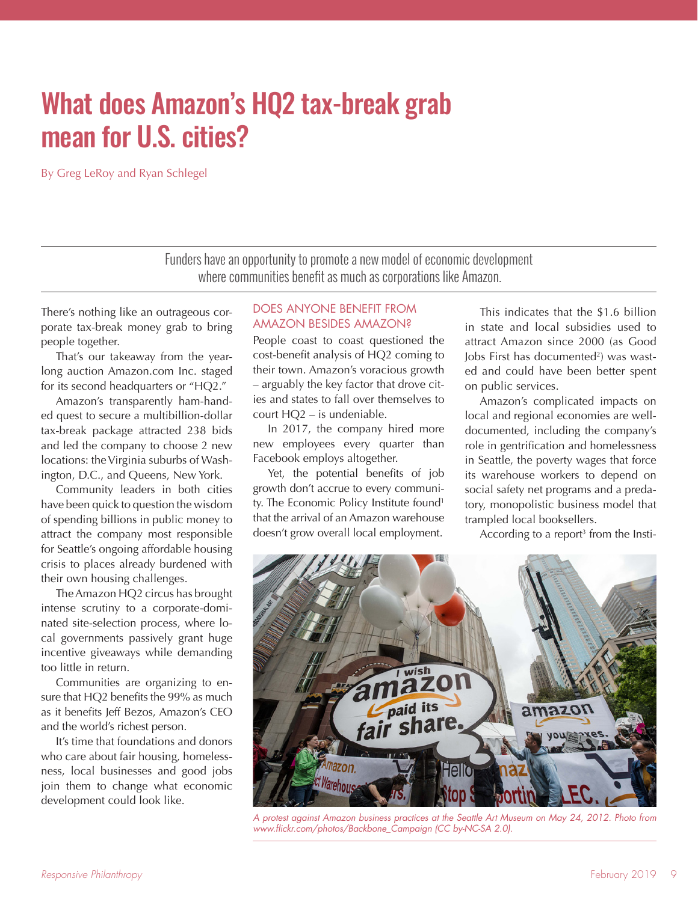# What does Amazon's HQ2 tax-break grab mean for U.S. cities?

By Greg LeRoy and Ryan Schlegel

Funders have an opportunity to promote a new model of economic development where communities benefit as much as corporations like Amazon.

There's nothing like an outrageous corporate tax-break money grab to bring people together.

That's our takeaway from the yearlong auction Amazon.com Inc. staged for its second headquarters or "HQ2."

Amazon's transparently ham-handed quest to secure a multibillion-dollar tax-break package attracted 238 bids and led the company to choose 2 new locations: the Virginia suburbs of Washington, D.C., and Queens, New York.

Community leaders in both cities have been quick to question the wisdom of spending billions in public money to attract the company most responsible for Seattle's ongoing affordable housing crisis to places already burdened with their own housing challenges.

The Amazon HQ2 circus has brought intense scrutiny to a corporate-dominated site-selection process, where local governments passively grant huge incentive giveaways while demanding too little in return.

Communities are organizing to ensure that HQ2 benefits the 99% as much as it benefits Jeff Bezos, Amazon's CEO and the world's richest person.

It's time that foundations and donors who care about fair housing, homelessness, local businesses and good jobs join them to change what economic development could look like.

#### DOES ANYONE BENEFIT FROM AMAZON BESIDES AMAZON?

People coast to coast questioned the cost-benefit analysis of HQ2 coming to their town. Amazon's voracious growth – arguably the key factor that drove cities and states to fall over themselves to court HQ2 – is undeniable.

In 2017, the company hired more new employees every quarter than Facebook employs altogether.

Yet, the potential benefits of job growth don't accrue to every community. The Economic Policy Institute found<sup>1</sup> that the arrival of an Amazon warehouse doesn't grow overall local employment.

This indicates that the \$1.6 billion in state and local subsidies used to attract Amazon since 2000 (as Good Jobs First has documented<sup>2</sup>) was wasted and could have been better spent on public services.

Amazon's complicated impacts on local and regional economies are welldocumented, including the company's role in gentrification and homelessness in Seattle, the poverty wages that force its warehouse workers to depend on social safety net programs and a predatory, monopolistic business model that trampled local booksellers.

According to a report<sup>3</sup> from the Insti-



*A protest against Amazon business practices at the Seattle Art Museum on May 24, 2012. Photo from www.flickr.com/photos/Backbone\_Campaign (CC by-NC-SA 2.0).*